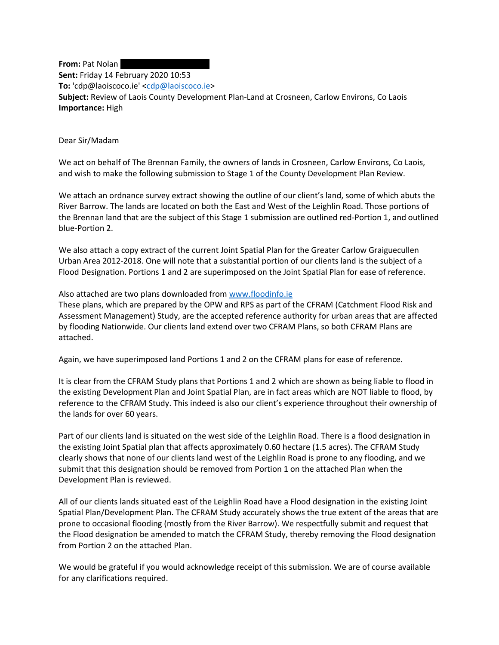**From:** Pat Nolan **Sent:** Friday 14 February 2020 10:53 To: 'cdp@laoiscoco.ie' [<cdp@laoiscoco.ie>](mailto:cdp@laoiscoco.ie) **Subject:** Review of Laois County Development Plan-Land at Crosneen, Carlow Environs, Co Laois **Importance:** High

Dear Sir/Madam

We act on behalf of The Brennan Family, the owners of lands in Crosneen, Carlow Environs, Co Laois, and wish to make the following submission to Stage 1 of the County Development Plan Review.

We attach an ordnance survey extract showing the outline of our client's land, some of which abuts the River Barrow. The lands are located on both the East and West of the Leighlin Road. Those portions of the Brennan land that are the subject of this Stage 1 submission are outlined red-Portion 1, and outlined blue-Portion 2.

We also attach a copy extract of the current Joint Spatial Plan for the Greater Carlow Graiguecullen Urban Area 2012-2018. One will note that a substantial portion of our clients land is the subject of a Flood Designation. Portions 1 and 2 are superimposed on the Joint Spatial Plan for ease of reference.

## Also attached are two plans downloaded from [www.floodinfo.ie](http://scanmail.trustwave.com/?c=17268&d=yo_G3lsg3jHEI_pzg-sJsKgavGg06fnDCB4fdCPsJw&s=379&u=http%3a%2f%2fwww%2efloodinfo%2eie)

These plans, which are prepared by the OPW and RPS as part of the CFRAM (Catchment Flood Risk and Assessment Management) Study, are the accepted reference authority for urban areas that are affected by flooding Nationwide. Our clients land extend over two CFRAM Plans, so both CFRAM Plans are attached.

Again, we have superimposed land Portions 1 and 2 on the CFRAM plans for ease of reference.

It is clear from the CFRAM Study plans that Portions 1 and 2 which are shown as being liable to flood in the existing Development Plan and Joint Spatial Plan, are in fact areas which are NOT liable to flood, by reference to the CFRAM Study. This indeed is also our client's experience throughout their ownership of the lands for over 60 years.

Part of our clients land is situated on the west side of the Leighlin Road. There is a flood designation in the existing Joint Spatial plan that affects approximately 0.60 hectare (1.5 acres). The CFRAM Study clearly shows that none of our clients land west of the Leighlin Road is prone to any flooding, and we submit that this designation should be removed from Portion 1 on the attached Plan when the Development Plan is reviewed.

All of our clients lands situated east of the Leighlin Road have a Flood designation in the existing Joint Spatial Plan/Development Plan. The CFRAM Study accurately shows the true extent of the areas that are prone to occasional flooding (mostly from the River Barrow). We respectfully submit and request that the Flood designation be amended to match the CFRAM Study, thereby removing the Flood designation from Portion 2 on the attached Plan.

We would be grateful if you would acknowledge receipt of this submission. We are of course available for any clarifications required.